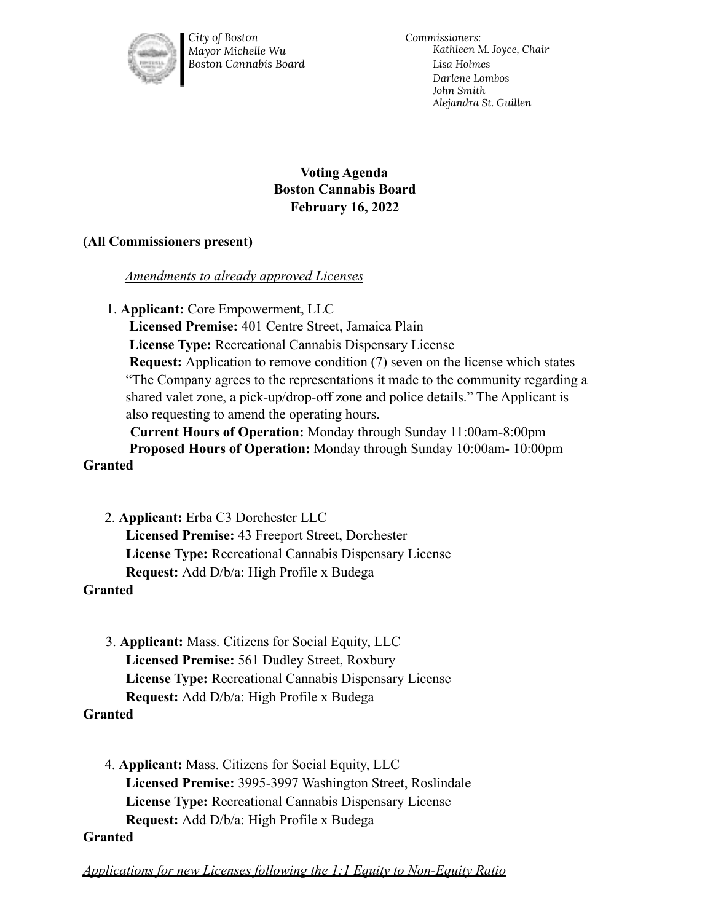

*City of Boston Mayor Michelle Wu Boston Cannabis Board* *Commissioners: Kathleen M. Joyce, Chair Lisa Holmes Darlene Lombos John Smith Alejandra St. Guillen*

# **Voting Agenda Boston Cannabis Board February 16, 2022**

## **(All Commissioners present)**

#### *Amendments to already approved Licenses*

1. **Applicant:** Core Empowerment, LLC

**Licensed Premise:** 401 Centre Street, Jamaica Plain **License Type:** Recreational Cannabis Dispensary License **Request:** Application to remove condition (7) seven on the license which states "The Company agrees to the representations it made to the community regarding a shared valet zone, a pick-up/drop-off zone and police details." The Applicant is also requesting to amend the operating hours.

**Current Hours of Operation:** Monday through Sunday 11:00am-8:00pm **Proposed Hours of Operation:** Monday through Sunday 10:00am- 10:00pm **Granted**

2. **Applicant:** Erba C3 Dorchester LLC **Licensed Premise:** 43 Freeport Street, Dorchester **License Type:** Recreational Cannabis Dispensary License **Request:** Add D/b/a: High Profile x Budega

## **Granted**

3. **Applicant:** Mass. Citizens for Social Equity, LLC **Licensed Premise:** 561 Dudley Street, Roxbury **License Type:** Recreational Cannabis Dispensary License **Request:** Add D/b/a: High Profile x Budega

## **Granted**

4. **Applicant:** Mass. Citizens for Social Equity, LLC **Licensed Premise:** 3995-3997 Washington Street, Roslindale **License Type:** Recreational Cannabis Dispensary License **Request:** Add D/b/a: High Profile x Budega

#### **Granted**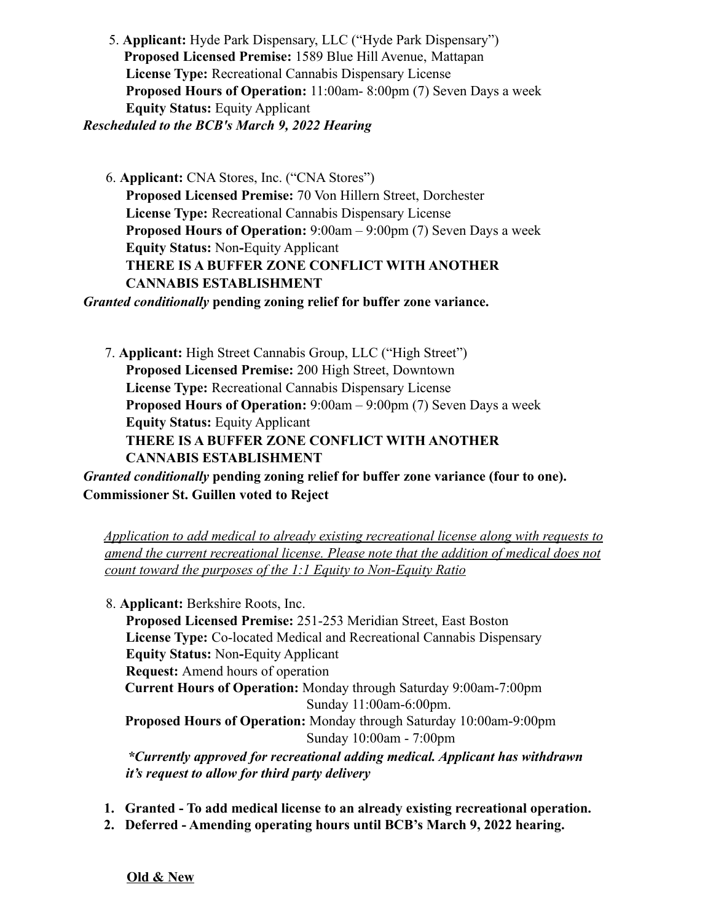5. **Applicant:** Hyde Park Dispensary, LLC ("Hyde Park Dispensary") **Proposed Licensed Premise:** 1589 Blue Hill Avenue, Mattapan **License Type:** Recreational Cannabis Dispensary License **Proposed Hours of Operation:** 11:00am- 8:00pm (7) Seven Days a week **Equity Status:** Equity Applicant *Rescheduled to the BCB's March 9, 2022 Hearing*

6. **Applicant:** CNA Stores, Inc. ("CNA Stores") **Proposed Licensed Premise:** 70 Von Hillern Street, Dorchester **License Type:** Recreational Cannabis Dispensary License **Proposed Hours of Operation:** 9:00am – 9:00pm (7) Seven Days a week **Equity Status:** Non**-**Equity Applicant **THERE IS A BUFFER ZONE CONFLICT WITH ANOTHER CANNABIS ESTABLISHMENT**

*Granted conditionally* **pending zoning relief for buffer zone variance.**

7. **Applicant:** High Street Cannabis Group, LLC ("High Street") **Proposed Licensed Premise:** 200 High Street, Downtown **License Type:** Recreational Cannabis Dispensary License **Proposed Hours of Operation:** 9:00am – 9:00pm (7) Seven Days a week **Equity Status:** Equity Applicant **THERE IS A BUFFER ZONE CONFLICT WITH ANOTHER CANNABIS ESTABLISHMENT**

*Granted conditionally* **pending zoning relief for buffer zone variance (four to one). Commissioner St. Guillen voted to Reject**

*Application to add medical to already existing recreational license along with requests to amend the current recreational license. Please note that the addition of medical does not count toward the purposes of the 1:1 Equity to Non-Equity Ratio*

8. **Applicant:** Berkshire Roots, Inc.

**Proposed Licensed Premise:** 251-253 Meridian Street, East Boston **License Type:** Co-located Medical and Recreational Cannabis Dispensary **Equity Status:** Non**-**Equity Applicant

**Request:** Amend hours of operation

**Current Hours of Operation:** Monday through Saturday 9:00am-7:00pm Sunday 11:00am-6:00pm.

**Proposed Hours of Operation:** Monday through Saturday 10:00am-9:00pm Sunday 10:00am - 7:00pm

*\*Currently approved for recreational adding medical. Applicant has withdrawn it's request to allow for third party delivery*

- **1. Granted To add medical license to an already existing recreational operation.**
- **2. Deferred Amending operating hours until BCB's March 9, 2022 hearing.**